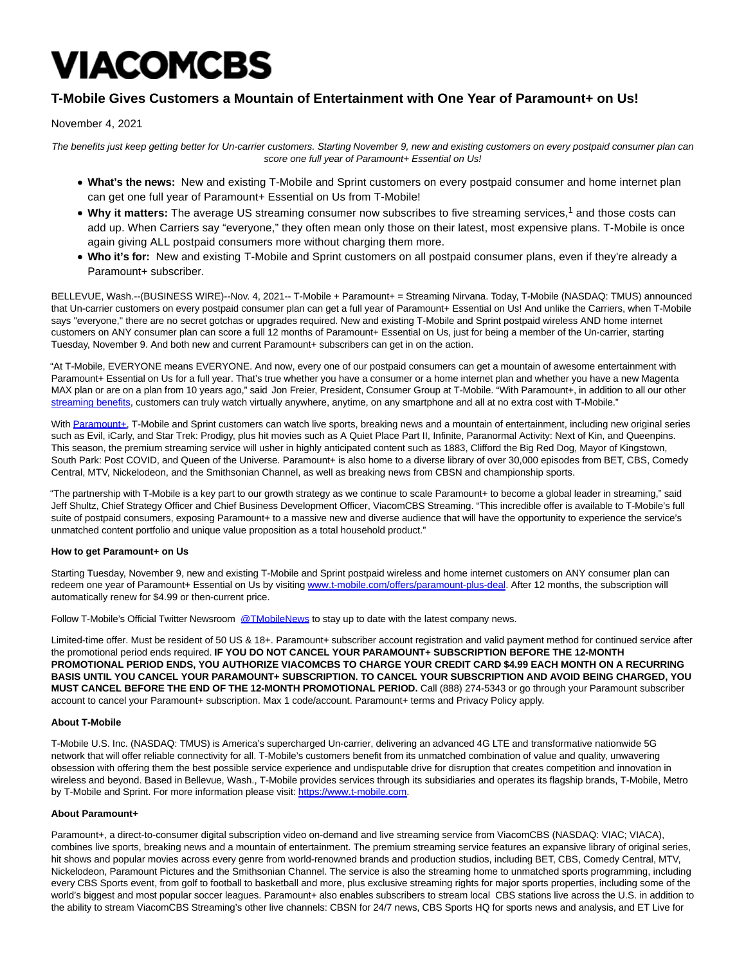# VIACOMCBS

## **T-Mobile Gives Customers a Mountain of Entertainment with One Year of Paramount+ on Us!**

November 4, 2021

The benefits just keep getting better for Un-carrier customers. Starting November 9, new and existing customers on every postpaid consumer plan can score one full year of Paramount+ Essential on Us!

- **What's the news:** New and existing T-Mobile and Sprint customers on every postpaid consumer and home internet plan can get one full year of Paramount+ Essential on Us from T-Mobile!
- Why it matters: The average US streaming consumer now subscribes to five streaming services,<sup>1</sup> and those costs can add up. When Carriers say "everyone," they often mean only those on their latest, most expensive plans. T-Mobile is once again giving ALL postpaid consumers more without charging them more.
- **Who it's for:** New and existing T-Mobile and Sprint customers on all postpaid consumer plans, even if they're already a Paramount+ subscriber.

BELLEVUE, Wash.--(BUSINESS WIRE)--Nov. 4, 2021-- T-Mobile + Paramount+ = Streaming Nirvana. Today, T-Mobile (NASDAQ: TMUS) announced that Un-carrier customers on every postpaid consumer plan can get a full year of Paramount+ Essential on Us! And unlike the Carriers, when T-Mobile says "everyone," there are no secret gotchas or upgrades required. New and existing T-Mobile and Sprint postpaid wireless AND home internet customers on ANY consumer plan can score a full 12 months of Paramount+ Essential on Us, just for being a member of the Un-carrier, starting Tuesday, November 9. And both new and current Paramount+ subscribers can get in on the action.

"At T-Mobile, EVERYONE means EVERYONE. And now, every one of our postpaid consumers can get a mountain of awesome entertainment with Paramount+ Essential on Us for a full year. That's true whether you have a consumer or a home internet plan and whether you have a new Magenta MAX plan or are on a plan from 10 years ago," said Jon Freier, President, Consumer Group at T-Mobile. "With Paramount+, in addition to all our other [streaming benefits,](https://cts.businesswire.com/ct/CT?id=smartlink&url=https%3A%2F%2Fwww.t-mobile.com%2Foffers%2Fapple-tv-plus-deal&esheet=52521879&newsitemid=20211104005637&lan=en-US&anchor=streaming+benefits&index=1&md5=ac178e37dff9e718df8a92a0a2fb01a1) customers can truly watch virtually anywhere, anytime, on any smartphone and all at no extra cost with T-Mobile."

With [Paramount+,](https://cts.businesswire.com/ct/CT?id=smartlink&url=https%3A%2F%2Fwww.paramountplus.com%2Fhome%2F&esheet=52521879&newsitemid=20211104005637&lan=en-US&anchor=Paramount%2B&index=2&md5=8e05e3e293e65ba2698f3f396b7387b8) T-Mobile and Sprint customers can watch live sports, breaking news and a mountain of entertainment, including new original series such as Evil, iCarly, and Star Trek: Prodigy, plus hit movies such as A Quiet Place Part II, Infinite, Paranormal Activity: Next of Kin, and Queenpins. This season, the premium streaming service will usher in highly anticipated content such as 1883, Clifford the Big Red Dog, Mayor of Kingstown, South Park: Post COVID, and Queen of the Universe. Paramount+ is also home to a diverse library of over 30,000 episodes from BET, CBS, Comedy Central, MTV, Nickelodeon, and the Smithsonian Channel, as well as breaking news from CBSN and championship sports.

"The partnership with T-Mobile is a key part to our growth strategy as we continue to scale Paramount+ to become a global leader in streaming," said Jeff Shultz, Chief Strategy Officer and Chief Business Development Officer, ViacomCBS Streaming. "This incredible offer is available to T-Mobile's full suite of postpaid consumers, exposing Paramount+ to a massive new and diverse audience that will have the opportunity to experience the service's unmatched content portfolio and unique value proposition as a total household product."

### **How to get Paramount+ on Us**

Starting Tuesday, November 9, new and existing T-Mobile and Sprint postpaid wireless and home internet customers on ANY consumer plan can redeem one year of Paramount+ Essential on Us by visiting [www.t-mobile.com/offers/paramount-plus-deal.](https://cts.businesswire.com/ct/CT?id=smartlink&url=http%3A%2F%2Fwww.t-mobile.com%2Foffers%2Fparamount-plus-deal&esheet=52521879&newsitemid=20211104005637&lan=en-US&anchor=www.t-mobile.com%2Foffers%2Fparamount-plus-deal&index=3&md5=e204b745e343c0e91de483be8f860ae3) After 12 months, the subscription will automatically renew for \$4.99 or then-current price.

Follow T-Mobile's Official Twitter Newsroom [@TMobileNews t](https://cts.businesswire.com/ct/CT?id=smartlink&url=https%3A%2F%2Fnam02.safelinks.protection.outlook.com%2F%3Furl%3Dhttps%253A%252F%252Ftwitter.com%252Ftmobilenews%26data%3D04%257C01%257CClint.Patterson28%2540T-Mobile.com%257Ce37890e8ce8948f7be7308d9936cdc5d%257Cbe0f980bdd994b19bd7bbc71a09b026c%257C0%257C0%257C637702918034817516%257CUnknown%257CTWFpbGZsb3d8eyJWIjoiMC4wLjAwMDAiLCJQIjoiV2luMzIiLCJBTiI6Ik1haWwiLCJXVCI6Mn0%253D%257C5000%26sdata%3DPHWqthfCu%252Bd6%252FfyFQAb8u5Rl7ADL2s0TtyNf0ISEOAs%253D%26reserved%3D0&esheet=52521879&newsitemid=20211104005637&lan=en-US&anchor=%40TMobileNews&index=4&md5=99458dd8d75b34a64f6b3c08136ccfff)o stay up to date with the latest company news.

Limited-time offer. Must be resident of 50 US & 18+. Paramount+ subscriber account registration and valid payment method for continued service after the promotional period ends required. **IF YOU DO NOT CANCEL YOUR PARAMOUNT+ SUBSCRIPTION BEFORE THE 12-MONTH PROMOTIONAL PERIOD ENDS, YOU AUTHORIZE VIACOMCBS TO CHARGE YOUR CREDIT CARD \$4.99 EACH MONTH ON A RECURRING BASIS UNTIL YOU CANCEL YOUR PARAMOUNT+ SUBSCRIPTION. TO CANCEL YOUR SUBSCRIPTION AND AVOID BEING CHARGED, YOU MUST CANCEL BEFORE THE END OF THE 12-MONTH PROMOTIONAL PERIOD.** Call (888) 274-5343 or go through your Paramount subscriber account to cancel your Paramount+ subscription. Max 1 code/account. Paramount+ terms and Privacy Policy apply.

### **About T-Mobile**

T-Mobile U.S. Inc. (NASDAQ: TMUS) is America's supercharged Un-carrier, delivering an advanced 4G LTE and transformative nationwide 5G network that will offer reliable connectivity for all. T-Mobile's customers benefit from its unmatched combination of value and quality, unwavering obsession with offering them the best possible service experience and undisputable drive for disruption that creates competition and innovation in wireless and beyond. Based in Bellevue, Wash., T-Mobile provides services through its subsidiaries and operates its flagship brands, T-Mobile, Metro by T-Mobile and Sprint. For more information please visit[: https://www.t-mobile.com.](https://cts.businesswire.com/ct/CT?id=smartlink&url=https%3A%2F%2Fwww.t-mobile.com%2F&esheet=52521879&newsitemid=20211104005637&lan=en-US&anchor=https%3A%2F%2Fwww.t-mobile.com&index=5&md5=ce72f2ecefeaa5205e8c0332879d8dae)

### **About Paramount+**

Paramount+, a direct-to-consumer digital subscription video on-demand and live streaming service from ViacomCBS (NASDAQ: VIAC; VIACA), combines live sports, breaking news and a mountain of entertainment. The premium streaming service features an expansive library of original series, hit shows and popular movies across every genre from world-renowned brands and production studios, including BET, CBS, Comedy Central, MTV, Nickelodeon, Paramount Pictures and the Smithsonian Channel. The service is also the streaming home to unmatched sports programming, including every CBS Sports event, from golf to football to basketball and more, plus exclusive streaming rights for major sports properties, including some of the world's biggest and most popular soccer leagues. Paramount+ also enables subscribers to stream local CBS stations live across the U.S. in addition to the ability to stream ViacomCBS Streaming's other live channels: CBSN for 24/7 news, CBS Sports HQ for sports news and analysis, and ET Live for